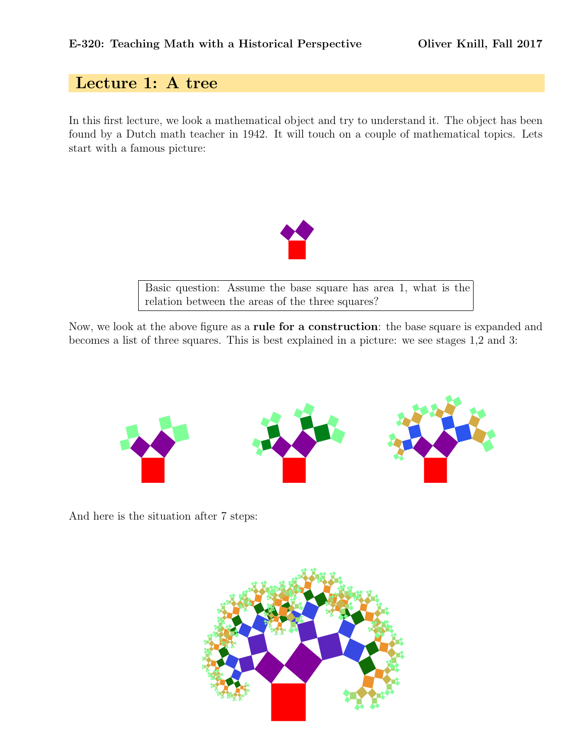## Lecture 1: A tree

In this first lecture, we look a mathematical object and try to understand it. The object has been found by a Dutch math teacher in 1942. It will touch on a couple of mathematical topics. Lets start with a famous picture:



Basic question: Assume the base square has area 1, what is the relation between the areas of the three squares?

Now, we look at the above figure as a rule for a construction: the base square is expanded and becomes a list of three squares. This is best explained in a picture: we see stages 1,2 and 3:



And here is the situation after 7 steps: